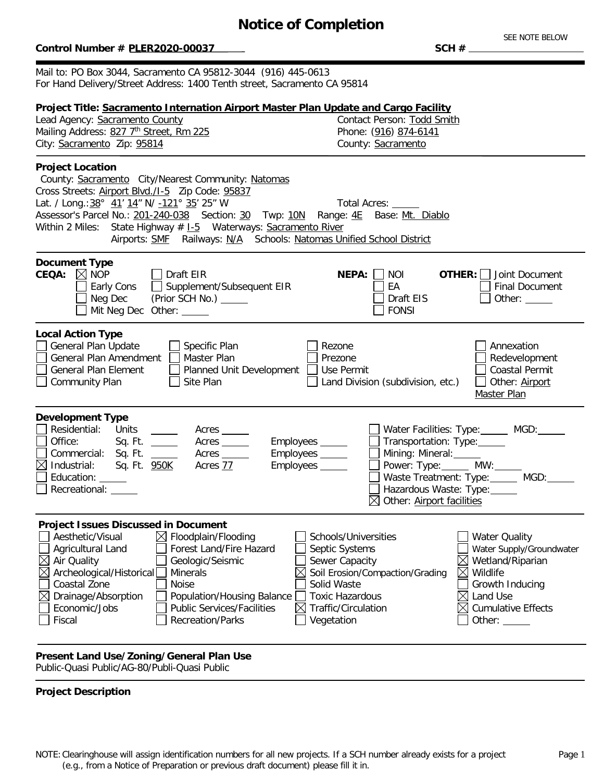# **Notice of Completion**

### $Control$  Number # PLER2020-00037

SEE NOTE BELOW

Mail to: PO Box 3044, Sacramento CA 95812-3044 (916) 445-0613 For Hand Delivery/Street Address: 1400 Tenth street, Sacramento CA 95814

| Project Title: Sacramento Internation Airport Master Plan Update and Cargo Facility<br>Lead Agency: Sacramento County<br>Mailing Address: 827 7th Street, Rm 225<br>City: Sacramento Zip: 95814                                                                                                                                                                                                                                                                                      | Contact Person: Todd Smith<br>Phone: (916) 874-6141<br>County: Sacramento                                                                                                                                                                                                                                                                                                          |
|--------------------------------------------------------------------------------------------------------------------------------------------------------------------------------------------------------------------------------------------------------------------------------------------------------------------------------------------------------------------------------------------------------------------------------------------------------------------------------------|------------------------------------------------------------------------------------------------------------------------------------------------------------------------------------------------------------------------------------------------------------------------------------------------------------------------------------------------------------------------------------|
| <b>Project Location</b><br>County: Sacramento City/Nearest Community: Natomas<br>Cross Streets: Airport Blvd./I-5    Zip Code: 95837<br>Lat. / Long.: 38° 41' 14" N/ -121° 35' 25" W<br>Assessor's Parcel No.: 201-240-038 Section: 30 Twp: 10N Range: 4E Base: Mt. Diablo<br>Within 2 Miles: State Highway # 1-5 Waterways: Sacramento River<br>Airports: SMF Railways: N/A Schools: Natomas Unified School District                                                                | <b>Total Acres:</b>                                                                                                                                                                                                                                                                                                                                                                |
| <b>Document Type</b><br><b>CEQA:</b> $\boxtimes$ NOP<br>Draft EIR<br>Supplement/Subsequent EIR<br>Early Cons<br>Neg Dec<br>(Prior SCH No.) ______<br>Mit Neg Dec Other: _____                                                                                                                                                                                                                                                                                                        | <b>NEPA:</b><br>NOI<br><b>OTHER:</b>   Joint Document<br>EA<br><b>Final Document</b><br>Draft EIS<br>Other: $\_\_$<br><b>FONSI</b>                                                                                                                                                                                                                                                 |
| <b>Local Action Type</b><br>General Plan Update<br>Specific Plan<br>Master Plan<br>General Plan Amendment<br><b>General Plan Element</b><br>Planned Unit Development<br>Site Plan<br><b>Community Plan</b>                                                                                                                                                                                                                                                                           | Annexation<br>Rezone<br>Prezone<br>Redevelopment<br>Use Permit<br><b>Coastal Permit</b><br>Other: Airport<br>Land Division (subdivision, etc.)<br>Master Plan                                                                                                                                                                                                                      |
| <b>Development Type</b><br>Residential:<br>Units<br>$\frac{1}{2}$ and $\frac{1}{2}$<br>Acres<br>Office:<br>Acres<br>Commercial: Sq. Ft. _____<br>Acres<br>$\boxtimes$ Industrial: Sq. Ft. $950K$<br>Acres 77<br>Education: _____<br>Recreational: _____                                                                                                                                                                                                                              | Water Facilities: Type: ______ MGD: _____<br>Transportation: Type:<br>Employees _____<br>Employees _____<br>Mining: Mineral: _____<br>Power: Type: ______ MW:_____<br>Employees _____<br>Waste Treatment: Type: ______ MGD: _____<br>Hazardous Waste: Type: ______<br>$\boxtimes$ Other: Airport facilities                                                                        |
| <b>Project Issues Discussed in Document</b><br>$\Box$ Aesthetic/Visual $\boxtimes$ Floodplain/Flooding<br>Agricultural Land<br>Forest Land/Fire Hazard<br>Air Quality<br>$\boxtimes$<br>Geologic/Seismic<br>Archeological/Historical<br>$\boxtimes$<br><b>Minerals</b><br>Coastal Zone<br><b>Noise</b><br>Drainage/Absorption<br>$\boxtimes$<br>Population/Housing Balance<br><b>Public Services/Facilities</b><br>Economic/Jobs<br>$\boxtimes$<br>Fiscal<br><b>Recreation/Parks</b> | Schools/Universities<br>$\Box$ Water Quality<br>Septic Systems<br>Water Supply/Groundwater<br>Sewer Capacity<br>$\boxtimes$ Wetland/Riparian<br>Soil Erosion/Compaction/Grading<br>Wildlife<br>$\boxtimes$<br>Solid Waste<br>Growth Inducing<br><b>Toxic Hazardous</b><br>$\boxtimes$<br>Land Use<br>Traffic/Circulation<br><b>Cumulative Effects</b><br>⊠<br>Vegetation<br>Other: |

## **Present Land Use/Zoning/General Plan Use**

Public-Quasi Public/AG-80/Publi-Quasi Public

### **Project Description**